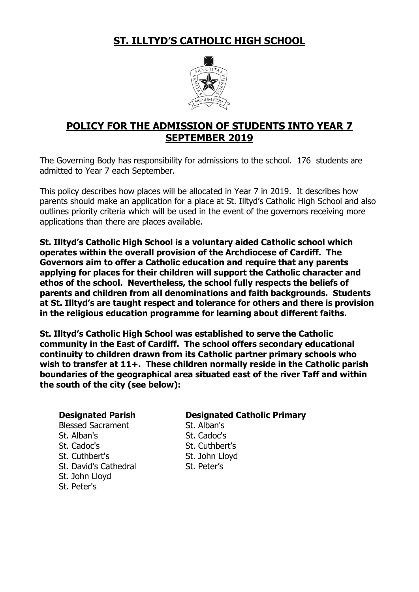**ST. ILLTYD'S CATHOLIC HIGH SCHOOL**



# **POLICY FOR THE ADMISSION OF STUDENTS INTO YEAR 7 SEPTEMBER 2019**

The Governing Body has responsibility for admissions to the school. 176 students are admitted to Year 7 each September.

This policy describes how places will be allocated in Year 7 in 2019. It describes how parents should make an application for a place at St. Illtyd's Catholic High School and also outlines priority criteria which will be used in the event of the governors receiving more applications than there are places available.

**St. Illtyd's Catholic High School is a voluntary aided Catholic school which operates within the overall provision of the Archdiocese of Cardiff. The Governors aim to offer a Catholic education and require that any parents applying for places for their children will support the Catholic character and ethos of the school. Nevertheless, the school fully respects the beliefs of parents and children from all denominations and faith backgrounds. Students at St. Illtyd's are taught respect and tolerance for others and there is provision in the religious education programme for learning about different faiths.**

**St. Illtyd's Catholic High School was established to serve the Catholic community in the East of Cardiff. The school offers secondary educational continuity to children drawn from its Catholic partner primary schools who wish to transfer at 11+. These children normally reside in the Catholic parish boundaries of the geographical area situated east of the river Taff and within the south of the city (see below):**

Blessed Sacrament St. Alban's St. Alban's St. Cadoc's St. Cadoc's St. Cuthbert's St. Cuthbert's St. John Lloyd St. David's Cathedral St. Peter's St. John Lloyd

St. Peter's

# **Designated Parish Designated Catholic Primary**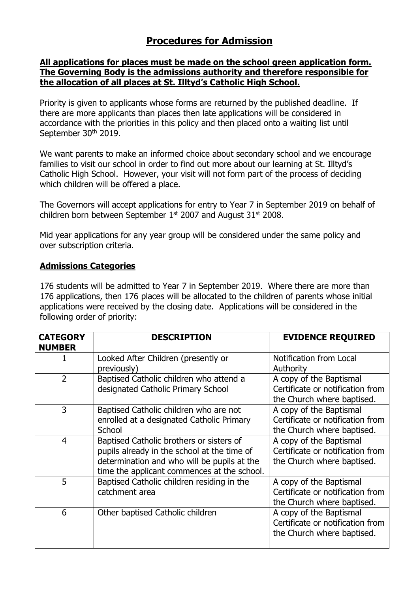# **Procedures for Admission**

### **All applications for places must be made on the school green application form. The Governing Body is the admissions authority and therefore responsible for the allocation of all places at St. Illtyd's Catholic High School.**

Priority is given to applicants whose forms are returned by the published deadline. If there are more applicants than places then late applications will be considered in accordance with the priorities in this policy and then placed onto a waiting list until September 30<sup>th</sup> 2019.

We want parents to make an informed choice about secondary school and we encourage families to visit our school in order to find out more about our learning at St. Illtyd's Catholic High School. However, your visit will not form part of the process of deciding which children will be offered a place.

The Governors will accept applications for entry to Year 7 in September 2019 on behalf of children born between September  $1<sup>st</sup>$  2007 and August 31 $<sup>st</sup>$  2008.</sup>

Mid year applications for any year group will be considered under the same policy and over subscription criteria.

# **Admissions Categories**

176 students will be admitted to Year 7 in September 2019. Where there are more than 176 applications, then 176 places will be allocated to the children of parents whose initial applications were received by the closing date. Applications will be considered in the following order of priority:

| <b>CATEGORY</b><br><b>NUMBER</b> | <b>DESCRIPTION</b>                          | <b>EVIDENCE REQUIRED</b>         |
|----------------------------------|---------------------------------------------|----------------------------------|
|                                  | Looked After Children (presently or         | Notification from Local          |
|                                  | previously)                                 | Authority                        |
| $\overline{2}$                   | Baptised Catholic children who attend a     | A copy of the Baptismal          |
|                                  | designated Catholic Primary School          | Certificate or notification from |
|                                  |                                             | the Church where baptised.       |
| 3                                | Baptised Catholic children who are not      | A copy of the Baptismal          |
|                                  | enrolled at a designated Catholic Primary   | Certificate or notification from |
|                                  | School                                      | the Church where baptised.       |
| $\overline{4}$                   | Baptised Catholic brothers or sisters of    | A copy of the Baptismal          |
|                                  | pupils already in the school at the time of | Certificate or notification from |
|                                  | determination and who will be pupils at the | the Church where baptised.       |
|                                  | time the applicant commences at the school. |                                  |
| 5                                | Baptised Catholic children residing in the  | A copy of the Baptismal          |
|                                  | catchment area                              | Certificate or notification from |
|                                  |                                             | the Church where baptised.       |
| 6                                | Other baptised Catholic children            | A copy of the Baptismal          |
|                                  |                                             | Certificate or notification from |
|                                  |                                             | the Church where baptised.       |
|                                  |                                             |                                  |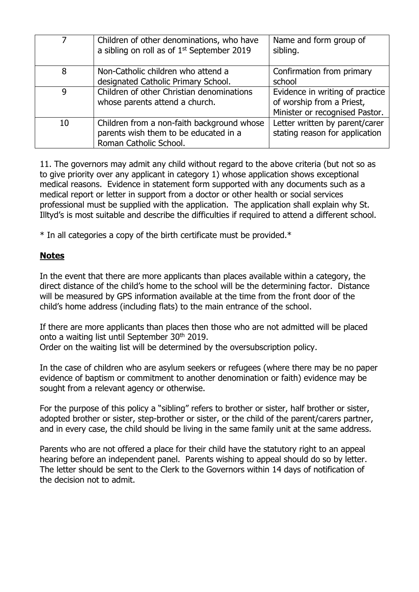| 7  | Children of other denominations, who have<br>a sibling on roll as of 1 <sup>st</sup> September 2019           | Name and form group of<br>sibling.                                                             |
|----|---------------------------------------------------------------------------------------------------------------|------------------------------------------------------------------------------------------------|
| 8  | Non-Catholic children who attend a<br>designated Catholic Primary School.                                     | Confirmation from primary<br>school                                                            |
| 9  | Children of other Christian denominations<br>whose parents attend a church.                                   | Evidence in writing of practice<br>of worship from a Priest,<br>Minister or recognised Pastor. |
| 10 | Children from a non-faith background whose<br>parents wish them to be educated in a<br>Roman Catholic School. | Letter written by parent/carer<br>stating reason for application                               |

11. The governors may admit any child without regard to the above criteria (but not so as to give priority over any applicant in category 1) whose application shows exceptional medical reasons. Evidence in statement form supported with any documents such as a medical report or letter in support from a doctor or other health or social services professional must be supplied with the application. The application shall explain why St. Illtyd's is most suitable and describe the difficulties if required to attend a different school.

\* In all categories a copy of the birth certificate must be provided.\*

# **Notes**

In the event that there are more applicants than places available within a category, the direct distance of the child's home to the school will be the determining factor. Distance will be measured by GPS information available at the time from the front door of the child's home address (including flats) to the main entrance of the school.

If there are more applicants than places then those who are not admitted will be placed onto a waiting list until September 30<sup>th</sup> 2019. Order on the waiting list will be determined by the oversubscription policy.

In the case of children who are asylum seekers or refugees (where there may be no paper evidence of baptism or commitment to another denomination or faith) evidence may be sought from a relevant agency or otherwise.

For the purpose of this policy a "sibling" refers to brother or sister, half brother or sister, adopted brother or sister, step-brother or sister, or the child of the parent/carers partner, and in every case, the child should be living in the same family unit at the same address.

Parents who are not offered a place for their child have the statutory right to an appeal hearing before an independent panel. Parents wishing to appeal should do so by letter. The letter should be sent to the Clerk to the Governors within 14 days of notification of the decision not to admit.